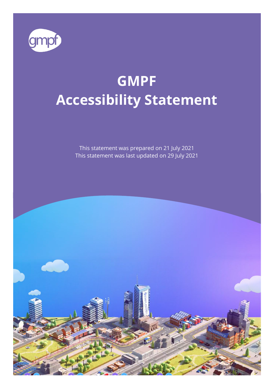

# **GMPF Accessibility Statement**

This statement was prepared on 21 July 2021 This statement was last updated on 29 July 2021

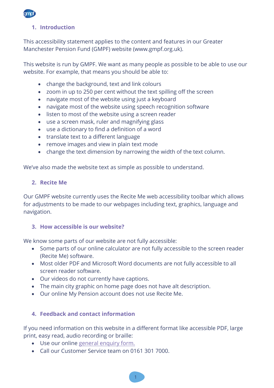

# **1. Introduction**

This accessibility statement applies to the content and features in our Greater Manchester Pension Fund (GMPF) website (www.gmpf.org.uk).

This website is run by GMPF. We want as many people as possible to be able to use our website. For example, that means you should be able to:

- change the background, text and link colours
- zoom in up to 250 per cent without the text spilling off the screen
- navigate most of the website using just a keyboard
- navigate most of the website using speech recognition software
- listen to most of the website using a screen reader
- use a screen mask, ruler and magnifying glass
- use a dictionary to find a definition of a word
- translate text to a different language
- remove images and view in plain text mode
- change the text dimension by narrowing the width of the text column.

We've also made the website text as simple as possible to understand.

#### **2. Recite Me**

Our GMPF website currently uses the Recite Me web accessibility toolbar which allows for adjustments to be made to our webpages including text, graphics, language and navigation.

#### **3. How accessible is our website?**

We know some parts of our website are not fully accessible:

- Some parts of our online calculator are not fully accessible to the screen reader (Recite Me) software.
- Most older PDF and Microsoft Word documents are not fully accessible to all screen reader software.
- Our videos do not currently have captions.
- The main city graphic on home page does not have alt description.
- Our online My Pension account does not use Recite Me.

# **4. Feedback and contact information**

If you need information on this website in a different format like accessible PDF, large print, easy read, audio recording or braille:

- Use our online [general enquiry form.](https://www.gmpf.org.uk/about/contact-forms/general-enquiry)
- Call our Customer Service team on 0161 301 7000.

1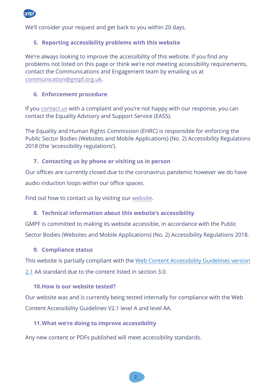

We'll consider your request and get back to you within 20 days.

## **5. Reporting accessibility problems with this website**

We're always looking to improve the accessibility of this website. If you find any problems not listed on this page or think we're not meeting accessibility requirements, contact the Communications and Engagement team by emailing us at [communication@gmpf.org.uk](mailto:communication@gmpf.org.uk).

#### **6. Enforcement procedure**

If yo[u contact us](https://www.gmpf.org.uk/about/contact-us) with a complaint and you're not happy with our response, you can contact the Equality Advisory and Support Service (EASS).

The Equality and Human Rights Commission (EHRC) is responsible for enforcing the Public Sector Bodies (Websites and Mobile Applications) (No. 2) Accessibility Regulations 2018 (the 'accessibility regulations').

#### **7. Contacting us by phone or visiting us in person**

Our offices are currently closed due to the coronavirus pandemic however we do have audio induction loops within our office spaces.

Find out how to contact us by visiting our [website.](https://www.gmpf.org.uk/about/contact-us)

#### **8. Technical information about this website's accessibility**

GMPF is committed to making its website accessible, in accordance with the Public Sector Bodies (Websites and Mobile Applications) (No. 2) Accessibility Regulations 2018.

#### **9. Compliance status**

This website is partially compliant with the Web [Content Accessibility](https://www.w3.org/TR/WCAG21/) Guidelines version [2.1](https://www.w3.org/TR/WCAG21/) AA standard due to the content listed in section 3.0.

#### **10.How is our website tested?**

Our website was and is currently being tested internally for compliance with the Web Content Accessibility Guidelines V2.1 level A and level AA.

#### **11.What we're doing to improve accessibility**

Any new content or PDFs published will meet accessibility standards.